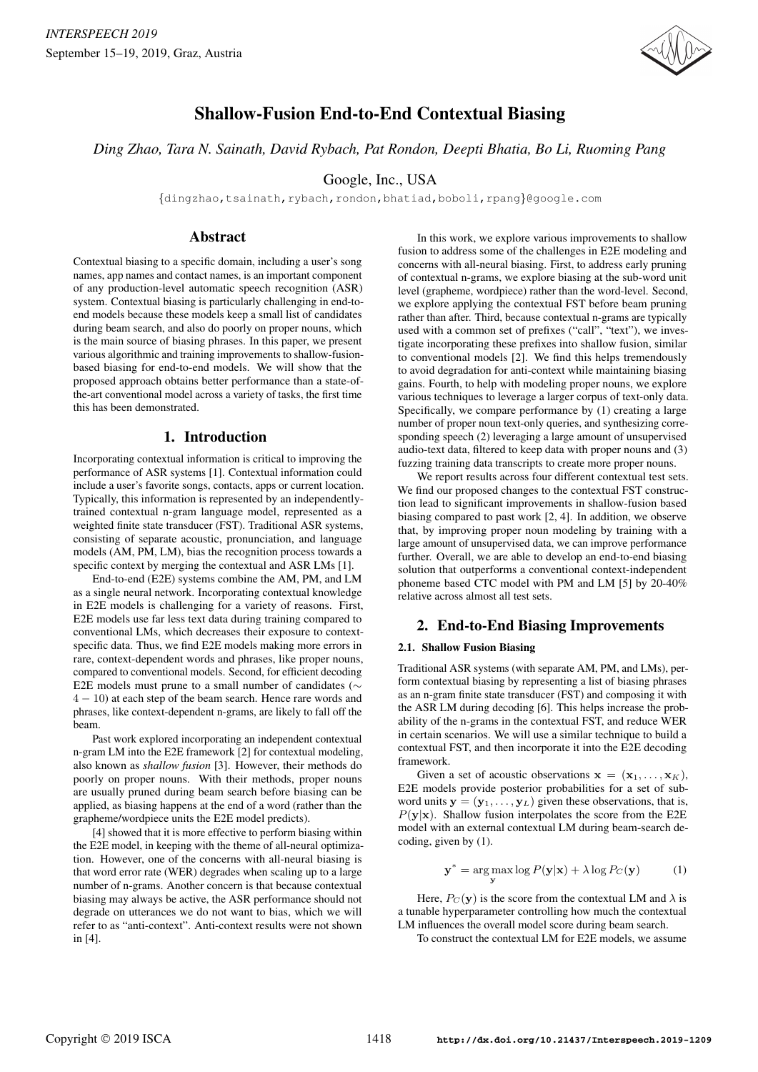

# Shallow-Fusion End-to-End Contextual Biasing

*Ding Zhao, Tara N. Sainath, David Rybach, Pat Rondon, Deepti Bhatia, Bo Li, Ruoming Pang*

Google, Inc., USA

{dingzhao,tsainath,rybach,rondon,bhatiad,boboli,rpang}@google.com

# **Abstract**

Contextual biasing to a specific domain, including a user's song names, app names and contact names, is an important component of any production-level automatic speech recognition (ASR) system. Contextual biasing is particularly challenging in end-toend models because these models keep a small list of candidates during beam search, and also do poorly on proper nouns, which is the main source of biasing phrases. In this paper, we present various algorithmic and training improvements to shallow-fusionbased biasing for end-to-end models. We will show that the proposed approach obtains better performance than a state-ofthe-art conventional model across a variety of tasks, the first time this has been demonstrated.

# 1. Introduction

Incorporating contextual information is critical to improving the performance of ASR systems [1]. Contextual information could include a user's favorite songs, contacts, apps or current location. Typically, this information is represented by an independentlytrained contextual n-gram language model, represented as a weighted finite state transducer (FST). Traditional ASR systems, consisting of separate acoustic, pronunciation, and language models (AM, PM, LM), bias the recognition process towards a specific context by merging the contextual and ASR LMs [1].

End-to-end (E2E) systems combine the AM, PM, and LM as a single neural network. Incorporating contextual knowledge in E2E models is challenging for a variety of reasons. First, E2E models use far less text data during training compared to conventional LMs, which decreases their exposure to contextspecific data. Thus, we find E2E models making more errors in rare, context-dependent words and phrases, like proper nouns, compared to conventional models. Second, for efficient decoding E2E models must prune to a small number of candidates (∼ 4 − 10) at each step of the beam search. Hence rare words and phrases, like context-dependent n-grams, are likely to fall off the beam.

Past work explored incorporating an independent contextual n-gram LM into the E2E framework [2] for contextual modeling, also known as *shallow fusion* [3]. However, their methods do poorly on proper nouns. With their methods, proper nouns are usually pruned during beam search before biasing can be applied, as biasing happens at the end of a word (rather than the grapheme/wordpiece units the E2E model predicts).

[4] showed that it is more effective to perform biasing within the E2E model, in keeping with the theme of all-neural optimization. However, one of the concerns with all-neural biasing is that word error rate (WER) degrades when scaling up to a large number of n-grams. Another concern is that because contextual biasing may always be active, the ASR performance should not degrade on utterances we do not want to bias, which we will refer to as "anti-context". Anti-context results were not shown in [4].

In this work, we explore various improvements to shallow fusion to address some of the challenges in E2E modeling and concerns with all-neural biasing. First, to address early pruning of contextual n-grams, we explore biasing at the sub-word unit level (grapheme, wordpiece) rather than the word-level. Second, we explore applying the contextual FST before beam pruning rather than after. Third, because contextual n-grams are typically used with a common set of prefixes ("call", "text"), we investigate incorporating these prefixes into shallow fusion, similar to conventional models [2]. We find this helps tremendously to avoid degradation for anti-context while maintaining biasing gains. Fourth, to help with modeling proper nouns, we explore various techniques to leverage a larger corpus of text-only data. Specifically, we compare performance by (1) creating a large number of proper noun text-only queries, and synthesizing corresponding speech (2) leveraging a large amount of unsupervised audio-text data, filtered to keep data with proper nouns and (3) fuzzing training data transcripts to create more proper nouns.

We report results across four different contextual test sets. We find our proposed changes to the contextual FST construction lead to significant improvements in shallow-fusion based biasing compared to past work [2, 4]. In addition, we observe that, by improving proper noun modeling by training with a large amount of unsupervised data, we can improve performance further. Overall, we are able to develop an end-to-end biasing solution that outperforms a conventional context-independent phoneme based CTC model with PM and LM [5] by 20-40% relative across almost all test sets.

# 2. End-to-End Biasing Improvements

## 2.1. Shallow Fusion Biasing

Traditional ASR systems (with separate AM, PM, and LMs), perform contextual biasing by representing a list of biasing phrases as an n-gram finite state transducer (FST) and composing it with the ASR LM during decoding [6]. This helps increase the probability of the n-grams in the contextual FST, and reduce WER in certain scenarios. We will use a similar technique to build a contextual FST, and then incorporate it into the E2E decoding framework.

Given a set of acoustic observations  $x = (x_1, \ldots, x_K)$ , E2E models provide posterior probabilities for a set of subword units  $y = (y_1, \ldots, y_L)$  given these observations, that is,  $P(y|x)$ . Shallow fusion interpolates the score from the E2E model with an external contextual LM during beam-search decoding, given by (1).

$$
\mathbf{y}^* = \arg\max_{\mathbf{y}} \log P(\mathbf{y}|\mathbf{x}) + \lambda \log P_C(\mathbf{y})
$$
 (1)

Here,  $P_C(y)$  is the score from the contextual LM and  $\lambda$  is a tunable hyperparameter controlling how much the contextual LM influences the overall model score during beam search.

To construct the contextual LM for E2E models, we assume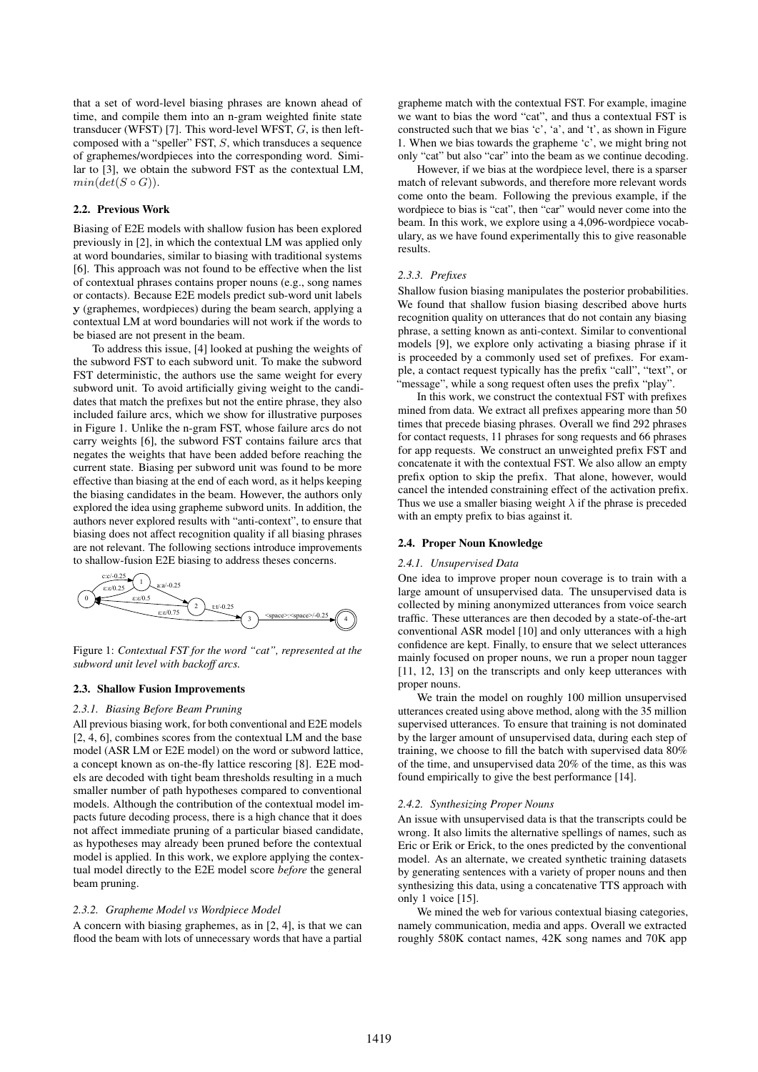that a set of word-level biasing phrases are known ahead of time, and compile them into an n-gram weighted finite state transducer (WFST) [7]. This word-level WFST,  $G$ , is then leftcomposed with a "speller" FST, S, which transduces a sequence of graphemes/wordpieces into the corresponding word. Similar to [3], we obtain the subword FST as the contextual LM,  $min(det(S \circ G)).$ 

#### 2.2. Previous Work

Biasing of E2E models with shallow fusion has been explored previously in [2], in which the contextual LM was applied only at word boundaries, similar to biasing with traditional systems [6]. This approach was not found to be effective when the list of contextual phrases contains proper nouns (e.g., song names or contacts). Because E2E models predict sub-word unit labels y (graphemes, wordpieces) during the beam search, applying a contextual LM at word boundaries will not work if the words to be biased are not present in the beam.

To address this issue, [4] looked at pushing the weights of the subword FST to each subword unit. To make the subword FST deterministic, the authors use the same weight for every subword unit. To avoid artificially giving weight to the candidates that match the prefixes but not the entire phrase, they also included failure arcs, which we show for illustrative purposes in Figure 1. Unlike the n-gram FST, whose failure arcs do not carry weights [6], the subword FST contains failure arcs that negates the weights that have been added before reaching the current state. Biasing per subword unit was found to be more effective than biasing at the end of each word, as it helps keeping the biasing candidates in the beam. However, the authors only explored the idea using grapheme subword units. In addition, the authors never explored results with "anti-context", to ensure that biasing does not affect recognition quality if all biasing phrases are not relevant. The following sections introduce improvements to shallow-fusion E2E biasing to address theses concerns.



Figure 1: *Contextual FST for the word "cat", represented at the subword unit level with backoff arcs.*

#### 2.3. Shallow Fusion Improvements

#### *2.3.1. Biasing Before Beam Pruning*

All previous biasing work, for both conventional and E2E models [2, 4, 6], combines scores from the contextual LM and the base model (ASR LM or E2E model) on the word or subword lattice, a concept known as on-the-fly lattice rescoring [8]. E2E models are decoded with tight beam thresholds resulting in a much smaller number of path hypotheses compared to conventional models. Although the contribution of the contextual model impacts future decoding process, there is a high chance that it does not affect immediate pruning of a particular biased candidate, as hypotheses may already been pruned before the contextual model is applied. In this work, we explore applying the contextual model directly to the E2E model score *before* the general beam pruning.

#### *2.3.2. Grapheme Model vs Wordpiece Model*

A concern with biasing graphemes, as in [2, 4], is that we can flood the beam with lots of unnecessary words that have a partial grapheme match with the contextual FST. For example, imagine we want to bias the word "cat", and thus a contextual FST is constructed such that we bias 'c', 'a', and 't', as shown in Figure 1. When we bias towards the grapheme 'c', we might bring not only "cat" but also "car" into the beam as we continue decoding.

However, if we bias at the wordpiece level, there is a sparser match of relevant subwords, and therefore more relevant words come onto the beam. Following the previous example, if the wordpiece to bias is "cat", then "car" would never come into the beam. In this work, we explore using a 4,096-wordpiece vocabulary, as we have found experimentally this to give reasonable results.

## *2.3.3. Prefixes*

Shallow fusion biasing manipulates the posterior probabilities. We found that shallow fusion biasing described above hurts recognition quality on utterances that do not contain any biasing phrase, a setting known as anti-context. Similar to conventional models [9], we explore only activating a biasing phrase if it is proceeded by a commonly used set of prefixes. For example, a contact request typically has the prefix "call", "text", or "message", while a song request often uses the prefix "play".

In this work, we construct the contextual FST with prefixes mined from data. We extract all prefixes appearing more than 50 times that precede biasing phrases. Overall we find 292 phrases for contact requests, 11 phrases for song requests and 66 phrases for app requests. We construct an unweighted prefix FST and concatenate it with the contextual FST. We also allow an empty prefix option to skip the prefix. That alone, however, would cancel the intended constraining effect of the activation prefix. Thus we use a smaller biasing weight  $\lambda$  if the phrase is preceded with an empty prefix to bias against it.

#### 2.4. Proper Noun Knowledge

#### *2.4.1. Unsupervised Data*

One idea to improve proper noun coverage is to train with a large amount of unsupervised data. The unsupervised data is collected by mining anonymized utterances from voice search traffic. These utterances are then decoded by a state-of-the-art conventional ASR model [10] and only utterances with a high confidence are kept. Finally, to ensure that we select utterances mainly focused on proper nouns, we run a proper noun tagger [11, 12, 13] on the transcripts and only keep utterances with proper nouns.

We train the model on roughly 100 million unsupervised utterances created using above method, along with the 35 million supervised utterances. To ensure that training is not dominated by the larger amount of unsupervised data, during each step of training, we choose to fill the batch with supervised data 80% of the time, and unsupervised data 20% of the time, as this was found empirically to give the best performance [14].

#### *2.4.2. Synthesizing Proper Nouns*

An issue with unsupervised data is that the transcripts could be wrong. It also limits the alternative spellings of names, such as Eric or Erik or Erick, to the ones predicted by the conventional model. As an alternate, we created synthetic training datasets by generating sentences with a variety of proper nouns and then synthesizing this data, using a concatenative TTS approach with only 1 voice [15].

We mined the web for various contextual biasing categories, namely communication, media and apps. Overall we extracted roughly 580K contact names, 42K song names and 70K app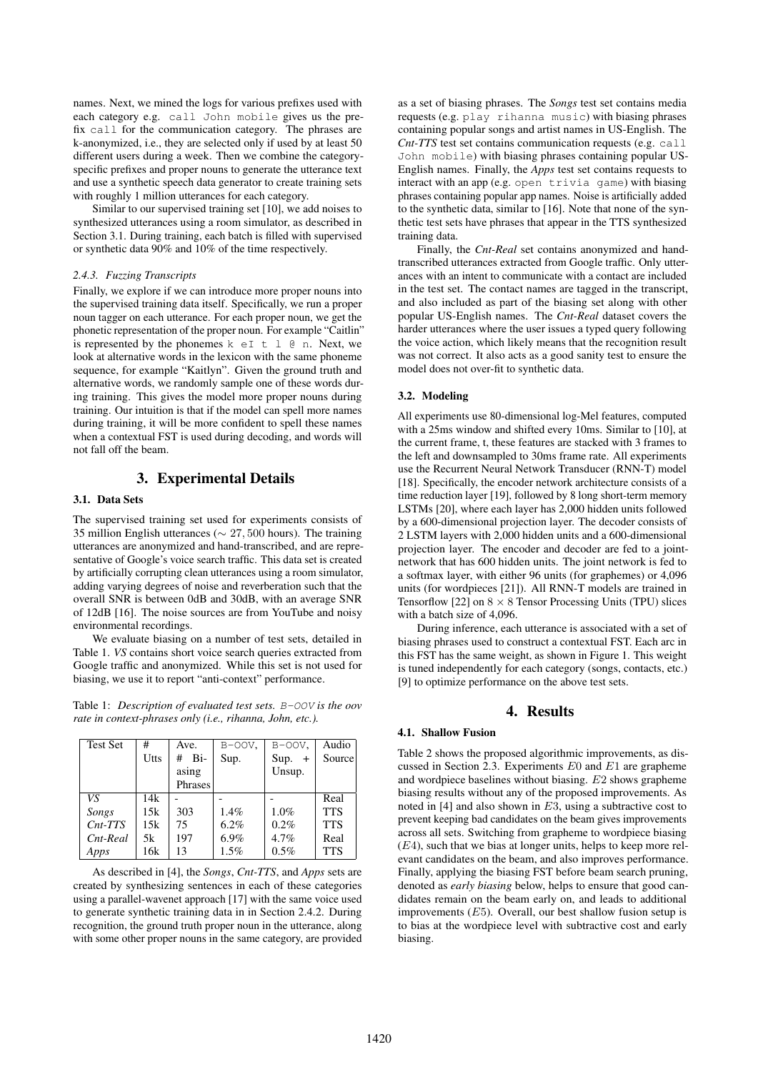names. Next, we mined the logs for various prefixes used with each category e.g. call John mobile gives us the prefix call for the communication category. The phrases are k-anonymized, i.e., they are selected only if used by at least 50 different users during a week. Then we combine the categoryspecific prefixes and proper nouns to generate the utterance text and use a synthetic speech data generator to create training sets with roughly 1 million utterances for each category.

Similar to our supervised training set [10], we add noises to synthesized utterances using a room simulator, as described in Section 3.1. During training, each batch is filled with supervised or synthetic data 90% and 10% of the time respectively.

#### *2.4.3. Fuzzing Transcripts*

Finally, we explore if we can introduce more proper nouns into the supervised training data itself. Specifically, we run a proper noun tagger on each utterance. For each proper noun, we get the phonetic representation of the proper noun. For example "Caitlin" is represented by the phonemes  $k \in I \t l \t \theta$  n. Next, we look at alternative words in the lexicon with the same phoneme sequence, for example "Kaitlyn". Given the ground truth and alternative words, we randomly sample one of these words during training. This gives the model more proper nouns during training. Our intuition is that if the model can spell more names during training, it will be more confident to spell these names when a contextual FST is used during decoding, and words will not fall off the beam.

## 3. Experimental Details

#### 3.1. Data Sets

The supervised training set used for experiments consists of 35 million English utterances (∼ 27, 500 hours). The training utterances are anonymized and hand-transcribed, and are representative of Google's voice search traffic. This data set is created by artificially corrupting clean utterances using a room simulator, adding varying degrees of noise and reverberation such that the overall SNR is between 0dB and 30dB, with an average SNR of 12dB [16]. The noise sources are from YouTube and noisy environmental recordings.

We evaluate biasing on a number of test sets, detailed in Table 1. *VS* contains short voice search queries extracted from Google traffic and anonymized. While this set is not used for biasing, we use it to report "anti-context" performance.

Table 1: *Description of evaluated test sets.* B-OOV *is the oov rate in context-phrases only (i.e., rihanna, John, etc.).*

| <b>Test Set</b> | #    | Ave.     | $B-OOV$ . | $B-OOV$ .   | Audio      |
|-----------------|------|----------|-----------|-------------|------------|
|                 | Utts | Bi-<br># | Sup.      | Sup.<br>$+$ | Source     |
|                 |      | asing    |           | Unsup.      |            |
|                 |      | Phrases  |           |             |            |
| VS              | 14k  |          |           |             | Real       |
| Songs           | 15k  | 303      | 1.4%      | 1.0%        | <b>TTS</b> |
| $Cnt-TTS$       | 15k  | 75       | 6.2%      | 0.2%        | <b>TTS</b> |
| Cnt-Real        | 5k   | 197      | 6.9%      | 4.7%        | Real       |
| Apps            | 16k  | 13       | 1.5%      | 0.5%        | <b>TTS</b> |

As described in [4], the *Songs*, *Cnt-TTS*, and *Apps* sets are created by synthesizing sentences in each of these categories using a parallel-wavenet approach [17] with the same voice used to generate synthetic training data in in Section 2.4.2. During recognition, the ground truth proper noun in the utterance, along with some other proper nouns in the same category, are provided as a set of biasing phrases. The *Songs* test set contains media requests (e.g. play rihanna music) with biasing phrases containing popular songs and artist names in US-English. The *Cnt-TTS* test set contains communication requests (e.g. call John mobile) with biasing phrases containing popular US-English names. Finally, the *Apps* test set contains requests to interact with an app (e.g. open trivia game) with biasing phrases containing popular app names. Noise is artificially added to the synthetic data, similar to [16]. Note that none of the synthetic test sets have phrases that appear in the TTS synthesized training data.

Finally, the *Cnt-Real* set contains anonymized and handtranscribed utterances extracted from Google traffic. Only utterances with an intent to communicate with a contact are included in the test set. The contact names are tagged in the transcript, and also included as part of the biasing set along with other popular US-English names. The *Cnt-Real* dataset covers the harder utterances where the user issues a typed query following the voice action, which likely means that the recognition result was not correct. It also acts as a good sanity test to ensure the model does not over-fit to synthetic data.

### 3.2. Modeling

All experiments use 80-dimensional log-Mel features, computed with a 25ms window and shifted every 10ms. Similar to [10], at the current frame, t, these features are stacked with 3 frames to the left and downsampled to 30ms frame rate. All experiments use the Recurrent Neural Network Transducer (RNN-T) model [18]. Specifically, the encoder network architecture consists of a time reduction layer [19], followed by 8 long short-term memory LSTMs [20], where each layer has 2,000 hidden units followed by a 600-dimensional projection layer. The decoder consists of 2 LSTM layers with 2,000 hidden units and a 600-dimensional projection layer. The encoder and decoder are fed to a jointnetwork that has 600 hidden units. The joint network is fed to a softmax layer, with either 96 units (for graphemes) or 4,096 units (for wordpieces [21]). All RNN-T models are trained in Tensorflow [22] on  $8 \times 8$  Tensor Processing Units (TPU) slices with a batch size of 4,096.

During inference, each utterance is associated with a set of biasing phrases used to construct a contextual FST. Each arc in this FST has the same weight, as shown in Figure 1. This weight is tuned independently for each category (songs, contacts, etc.) [9] to optimize performance on the above test sets.

## 4. Results

## 4.1. Shallow Fusion

Table 2 shows the proposed algorithmic improvements, as discussed in Section 2.3. Experiments  $E0$  and  $E1$  are grapheme and wordpiece baselines without biasing. E2 shows grapheme biasing results without any of the proposed improvements. As noted in  $[4]$  and also shown in E3, using a subtractive cost to prevent keeping bad candidates on the beam gives improvements across all sets. Switching from grapheme to wordpiece biasing  $(E4)$ , such that we bias at longer units, helps to keep more relevant candidates on the beam, and also improves performance. Finally, applying the biasing FST before beam search pruning, denoted as *early biasing* below, helps to ensure that good candidates remain on the beam early on, and leads to additional improvements  $(E5)$ . Overall, our best shallow fusion setup is to bias at the wordpiece level with subtractive cost and early biasing.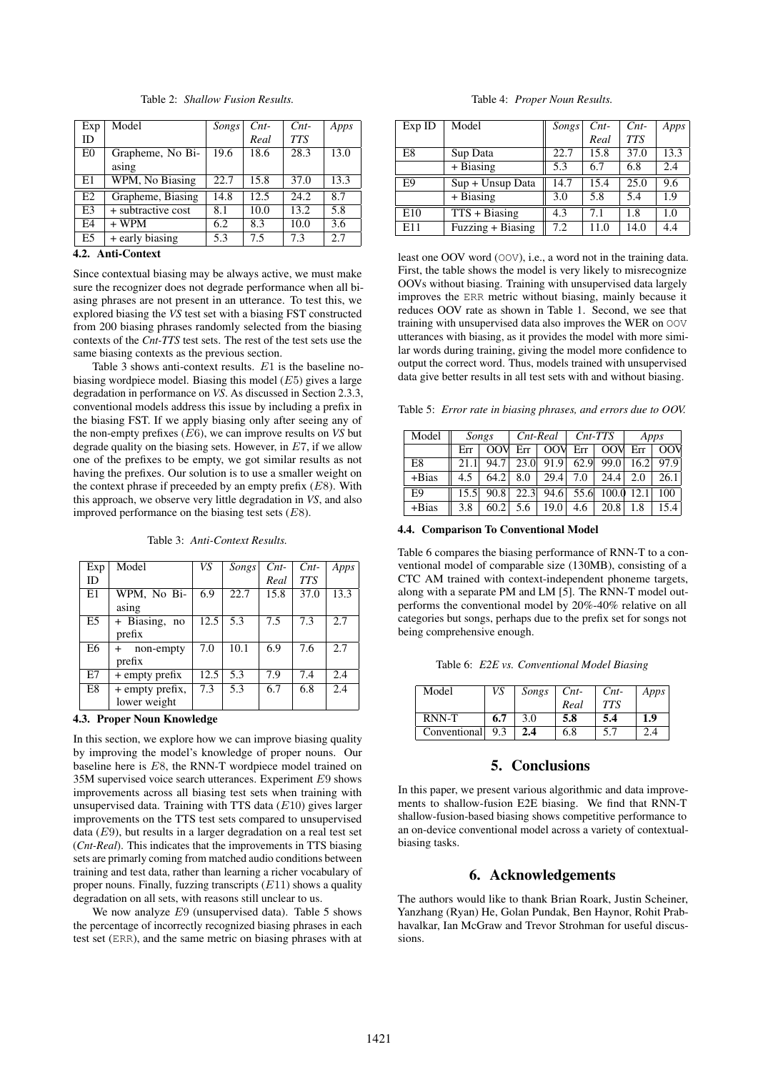| Exp       | Model              | Songs | $Cnt-$ | $Cnt-$     | Apps |
|-----------|--------------------|-------|--------|------------|------|
| <b>ID</b> |                    |       | Real   | <b>TTS</b> |      |
| E0        | Grapheme, No Bi-   | 19.6  | 18.6   | 28.3       | 13.0 |
|           | asing              |       |        |            |      |
| E1        | WPM, No Biasing    | 22.7  | 15.8   | 37.0       | 13.3 |
| E2        | Grapheme, Biasing  | 14.8  | 12.5   | 24.2       | 8.7  |
| E3        | + subtractive cost | 8.1   | 10.0   | 13.2       | 5.8  |
| E4        | $+$ WPM            | 6.2   | 8.3    | 10.0       | 3.6  |
| E5        | + early biasing    | 5.3   | 7.5    | 7.3        | 2.7  |

Table 2: *Shallow Fusion Results.*

## 4.2. Anti-Context

Since contextual biasing may be always active, we must make sure the recognizer does not degrade performance when all biasing phrases are not present in an utterance. To test this, we explored biasing the *VS* test set with a biasing FST constructed from 200 biasing phrases randomly selected from the biasing contexts of the *Cnt-TTS* test sets. The rest of the test sets use the same biasing contexts as the previous section.

Table 3 shows anti-context results. E1 is the baseline nobiasing wordpiece model. Biasing this model  $(E5)$  gives a large degradation in performance on *VS*. As discussed in Section 2.3.3, conventional models address this issue by including a prefix in the biasing FST. If we apply biasing only after seeing any of the non-empty prefixes (E6), we can improve results on *VS* but degrade quality on the biasing sets. However, in  $E7$ , if we allow one of the prefixes to be empty, we got similar results as not having the prefixes. Our solution is to use a smaller weight on the context phrase if preceeded by an empty prefix  $(E8)$ . With this approach, we observe very little degradation in *VS*, and also improved performance on the biasing test sets  $(E8)$ .

Table 3: *Anti-Context Results.*

| Exp            | Model                      | VS   | Songs | $Cnt-$ | $Cnt-$     | Apps |
|----------------|----------------------------|------|-------|--------|------------|------|
| ID             |                            |      |       | Real   | <b>TTS</b> |      |
| E1             | WPM, No Bi-                | 6.9  | 22.7  | 15.8   | 37.0       | 13.3 |
|                | asing                      |      |       |        |            |      |
| E <sub>5</sub> | $\overline{+}$ Biasing, no | 12.5 | 5.3   | 7.5    | 7.3        | 2.7  |
|                | prefix                     |      |       |        |            |      |
| E6             | non-empty<br>$\ddot{}$     | 7.0  | 10.1  | 6.9    | 7.6        | 2.7  |
|                | prefix                     |      |       |        |            |      |
| E7             | $+$ empty prefix           | 12.5 | 5.3   | 7.9    | 7.4        | 2.4  |
| E8             | + empty prefix,            | 7.3  | 5.3   | 6.7    | 6.8        | 2.4  |
|                | lower weight               |      |       |        |            |      |

## 4.3. Proper Noun Knowledge

In this section, we explore how we can improve biasing quality by improving the model's knowledge of proper nouns. Our baseline here is E8, the RNN-T wordpiece model trained on 35M supervised voice search utterances. Experiment E9 shows improvements across all biasing test sets when training with unsupervised data. Training with TTS data  $(E10)$  gives larger improvements on the TTS test sets compared to unsupervised data  $(E9)$ , but results in a larger degradation on a real test set (*Cnt-Real*). This indicates that the improvements in TTS biasing sets are primarly coming from matched audio conditions between training and test data, rather than learning a richer vocabulary of proper nouns. Finally, fuzzing transcripts  $(E11)$  shows a quality degradation on all sets, with reasons still unclear to us.

We now analyze E9 (unsupervised data). Table 5 shows the percentage of incorrectly recognized biasing phrases in each test set (ERR), and the same metric on biasing phrases with at

Table 4: *Proper Noun Results.*

| Exp ID | Model             | Songs | $Cnt-$ | $Cnt-$     | Apps |
|--------|-------------------|-------|--------|------------|------|
|        |                   |       | Real   | <b>TTS</b> |      |
| E8     | Sup Data          | 22.7  | 15.8   | 37.0       | 13.3 |
|        | $+ Biasing$       | 5.3   | 6.7    | 6.8        | 2.4  |
| E9     | Sup + Unsup Data  | 14.7  | 15.4   | 25.0       | 9.6  |
|        | $+ Biasing$       | 3.0   | 5.8    | 5.4        | 1.9  |
| E10    | $TTS + Biasing$   | 4.3   | 7.1    | 1.8        | 1.0  |
| E11    | Fuzzing + Biasing | 7.2   | 11.0   | 14.0       | 4.4  |

least one OOV word (OOV), i.e., a word not in the training data. First, the table shows the model is very likely to misrecognize OOVs without biasing. Training with unsupervised data largely improves the ERR metric without biasing, mainly because it reduces OOV rate as shown in Table 1. Second, we see that training with unsupervised data also improves the WER on OOV utterances with biasing, as it provides the model with more similar words during training, giving the model more confidence to output the correct word. Thus, models trained with unsupervised data give better results in all test sets with and without biasing.

Table 5: *Error rate in biasing phrases, and errors due to OOV.*

| Model   | Songs |                 | Cnt-Real |            | $Cnt-TTS$ |                   | Apps |      |
|---------|-------|-----------------|----------|------------|-----------|-------------------|------|------|
|         | Err   | 00 <sup>N</sup> | Err      | <b>OOV</b> | $Err$     | OOV               | Err  | OOV  |
| E8      |       | 94.7            | 23.0     | 91.9       | 62.9      | 99.0              | 16.2 | 97.9 |
| $+Bias$ | 4.5   | 64.2            | 8.0      | 29.4       | 7.0       | 24.4              | 2.0  | 26.1 |
| E9      | 15.5  | 90.8            | 22.3     |            |           | $94.6$ 55.6 100.0 | 12.1 | 100  |
| $+Bias$ | 3.8   | 60.2            | 5.6      | 19.0       | 4.6       | 20.8              | 1.8  | 15.4 |

4.4. Comparison To Conventional Model

Table 6 compares the biasing performance of RNN-T to a conventional model of comparable size (130MB), consisting of a CTC AM trained with context-independent phoneme targets, along with a separate PM and LM [5]. The RNN-T model outperforms the conventional model by 20%-40% relative on all categories but songs, perhaps due to the prefix set for songs not being comprehensive enough.

Table 6: *E2E vs. Conventional Model Biasing*

| Model        | VS  | Songs | $Cnt-$ | $Cnt-$ | Apps |
|--------------|-----|-------|--------|--------|------|
|              |     |       | Real   | TTS    |      |
| RNN-T        | 6.7 | 3.0   | 5.8    | 5.4    | 1.9  |
| Conventional | 9.3 | 2.4   | 6.8    | 5.7    |      |

# 5. Conclusions

In this paper, we present various algorithmic and data improvements to shallow-fusion E2E biasing. We find that RNN-T shallow-fusion-based biasing shows competitive performance to an on-device conventional model across a variety of contextualbiasing tasks.

## 6. Acknowledgements

The authors would like to thank Brian Roark, Justin Scheiner, Yanzhang (Ryan) He, Golan Pundak, Ben Haynor, Rohit Prabhavalkar, Ian McGraw and Trevor Strohman for useful discussions.